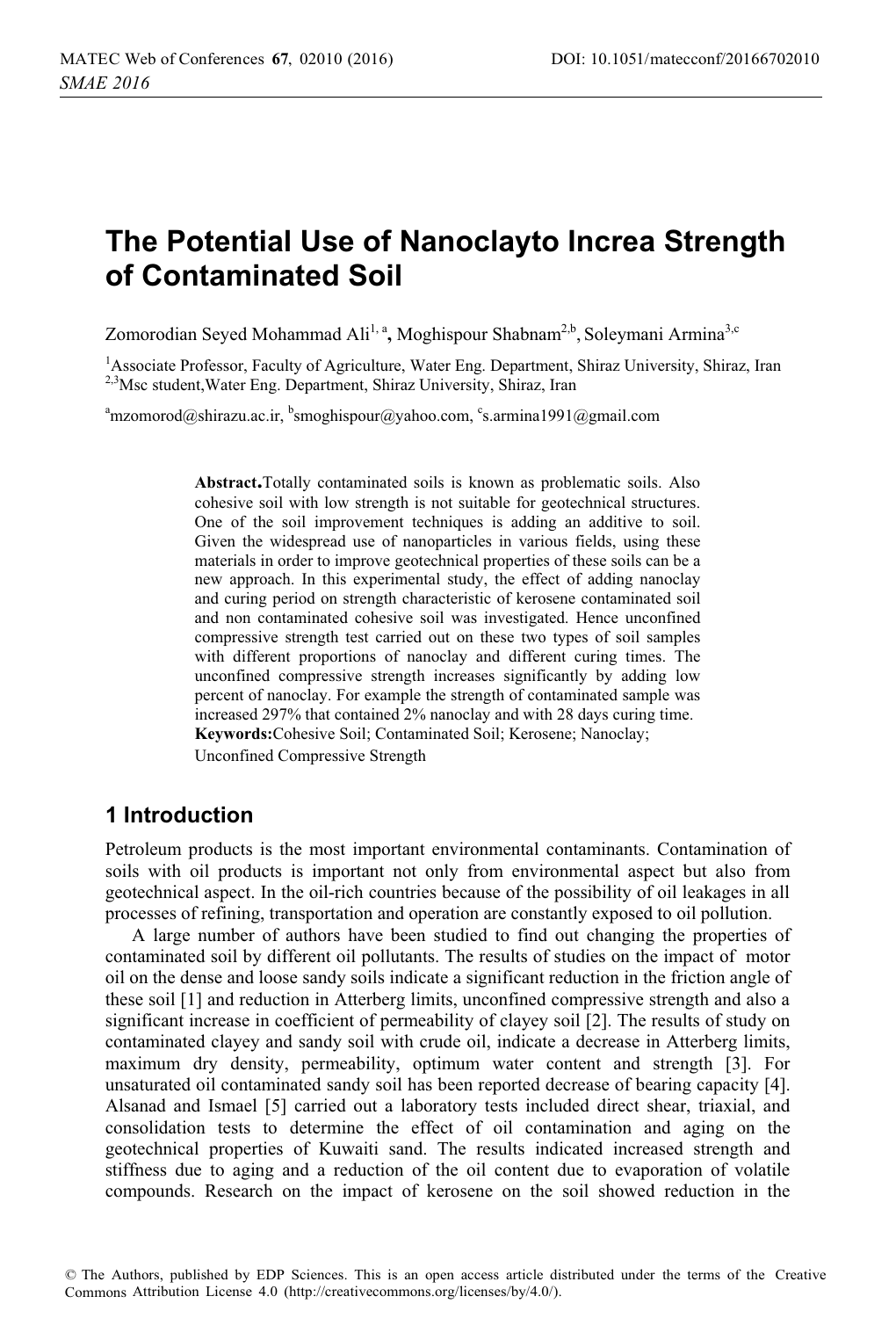# **The Potential Use of Nanoclayto Increa Strength of Contaminated Soil**

Zomorodian Seyed Mohammad Ali<sup>1, a</sup>, Moghispour Shabnam<sup>2,b</sup>, Soleymani Armina<sup>3,c</sup>

<sup>1</sup> Associate Professor, Faculty of Agriculture, Water Eng. Department, Shiraz University, Shiraz, Iran <sup>2,3</sup>Msc student, Water Eng. Department, Shiraz University, Shiraz, Iran

<sup>a</sup>mzomorod@shirazu.ac.ir, <sup>b</sup>smoghispour@yahoo.com, <sup>c</sup>s.armina1991@gmail.com

**Abstract.**Totally contaminated soils is known as problematic soils. Also cohesive soil with low strength is not suitable for geotechnical structures. One of the soil improvement techniques is adding an additive to soil. Given the widespread use of nanoparticles in various fields, using these materials in order to improve geotechnical properties of these soils can be a new approach. In this experimental study, the effect of adding nanoclay and curing period on strength characteristic of kerosene contaminated soil and non contaminated cohesive soil was investigated. Hence unconfined compressive strength test carried out on these two types of soil samples with different proportions of nanoclay and different curing times. The unconfined compressive strength increases significantly by adding low percent of nanoclay. For example the strength of contaminated sample was increased 297% that contained 2% nanoclay and with 28 days curing time. **Keywords:**Cohesive Soil; Contaminated Soil; Kerosene; Nanoclay; Unconfined Compressive Strength

# **1 Introduction**

Petroleum products is the most important environmental contaminants. Contamination of soils with oil products is important not only from environmental aspect but also from geotechnical aspect. In the oil-rich countries because of the possibility of oil leakages in all processes of refining, transportation and operation are constantly exposed to oil pollution.

A large number of authors have been studied to find out changing the properties of contaminated soil by different oil pollutants. The results of studies on the impact of motor oil on the dense and loose sandy soils indicate a significant reduction in the friction angle of these soil [1] and reduction in Atterberg limits, unconfined compressive strength and also a significant increase in coefficient of permeability of clayey soil [2]. The results of study on contaminated clayey and sandy soil with crude oil, indicate a decrease in Atterberg limits, maximum dry density, permeability, optimum water content and strength [3]. For unsaturated oil contaminated sandy soil has been reported decrease of bearing capacity [4]. Alsanad and Ismael [5] carried out a laboratory tests included direct shear, triaxial, and consolidation tests to determine the effect of oil contamination and aging on the geotechnical properties of Kuwaiti sand. The results indicated increased strength and stiffness due to aging and a reduction of the oil content due to evaporation of volatile compounds. Research on the impact of kerosene on the soil showed reduction in the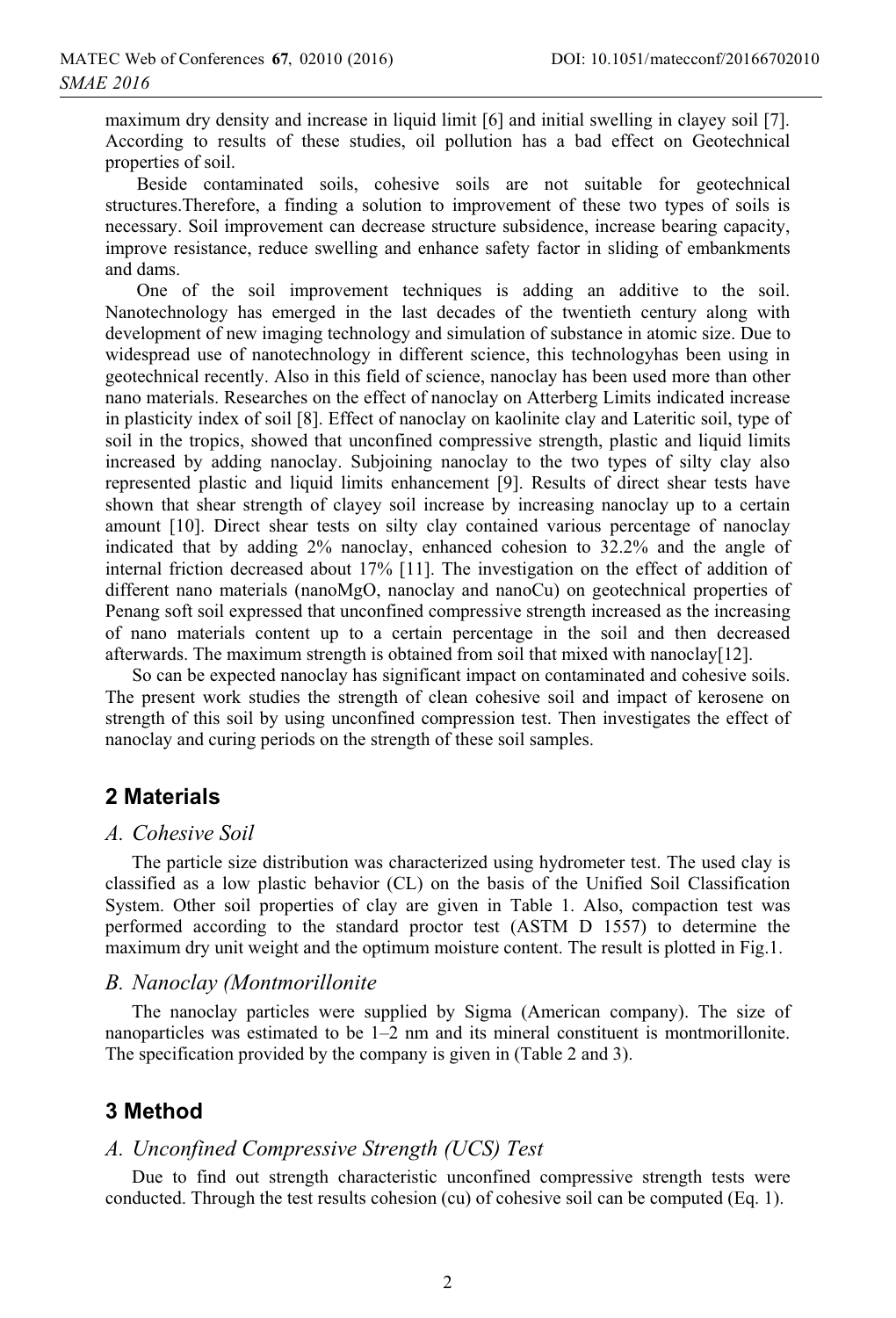maximum dry density and increase in liquid limit [6] and initial swelling in clayey soil [7]. According to results of these studies, oil pollution has a bad effect on Geotechnical properties of soil.

 Beside contaminated soils, cohesive soils are not suitable for geotechnical structures.Therefore, a finding a solution to improvement of these two types of soils is necessary. Soil improvement can decrease structure subsidence, increase bearing capacity, improve resistance, reduce swelling and enhance safety factor in sliding of embankments and dams.

 One of the soil improvement techniques is adding an additive to the soil. Nanotechnology has emerged in the last decades of the twentieth century along with development of new imaging technology and simulation of substance in atomic size. Due to widespread use of nanotechnology in different science, this technologyhas been using in geotechnical recently. Also in this field of science, nanoclay has been used more than other nano materials. Researches on the effect of nanoclay on Atterberg Limits indicated increase in plasticity index of soil [8]. Effect of nanoclay on kaolinite clay and Lateritic soil, type of soil in the tropics, showed that unconfined compressive strength, plastic and liquid limits increased by adding nanoclay. Subjoining nanoclay to the two types of silty clay also represented plastic and liquid limits enhancement [9]. Results of direct shear tests have shown that shear strength of clayey soil increase by increasing nanoclay up to a certain amount [10]. Direct shear tests on silty clay contained various percentage of nanoclay indicated that by adding 2% nanoclay, enhanced cohesion to 32.2% and the angle of internal friction decreased about 17% [11]. The investigation on the effect of addition of different nano materials (nanoMgO, nanoclay and nanoCu) on geotechnical properties of Penang soft soil expressed that unconfined compressive strength increased as the increasing of nano materials content up to a certain percentage in the soil and then decreased afterwards. The maximum strength is obtained from soil that mixed with nanoclay[12].

So can be expected nanoclay has significant impact on contaminated and cohesive soils. The present work studies the strength of clean cohesive soil and impact of kerosene on strength of this soil by using unconfined compression test. Then investigates the effect of nanoclay and curing periods on the strength of these soil samples.

# **2 Materials**

### *A. Cohesive Soil*

The particle size distribution was characterized using hydrometer test. The used clay is classified as a low plastic behavior (CL) on the basis of the Unified Soil Classification System. Other soil properties of clay are given in Table 1. Also, compaction test was performed according to the standard proctor test (ASTM D 1557) to determine the maximum dry unit weight and the optimum moisture content. The result is plotted in Fig.1.

### *B. Nanoclay (Montmorillonite*

The nanoclay particles were supplied by Sigma (American company). The size of nanoparticles was estimated to be 1–2 nm and its mineral constituent is montmorillonite. The specification provided by the company is given in (Table 2 and 3).

# **3 Method**

### *A. Unconfined Compressive Strength (UCS) Test*

Due to find out strength characteristic unconfined compressive strength tests were conducted. Through the test results cohesion (cu) of cohesive soil can be computed (Eq. 1).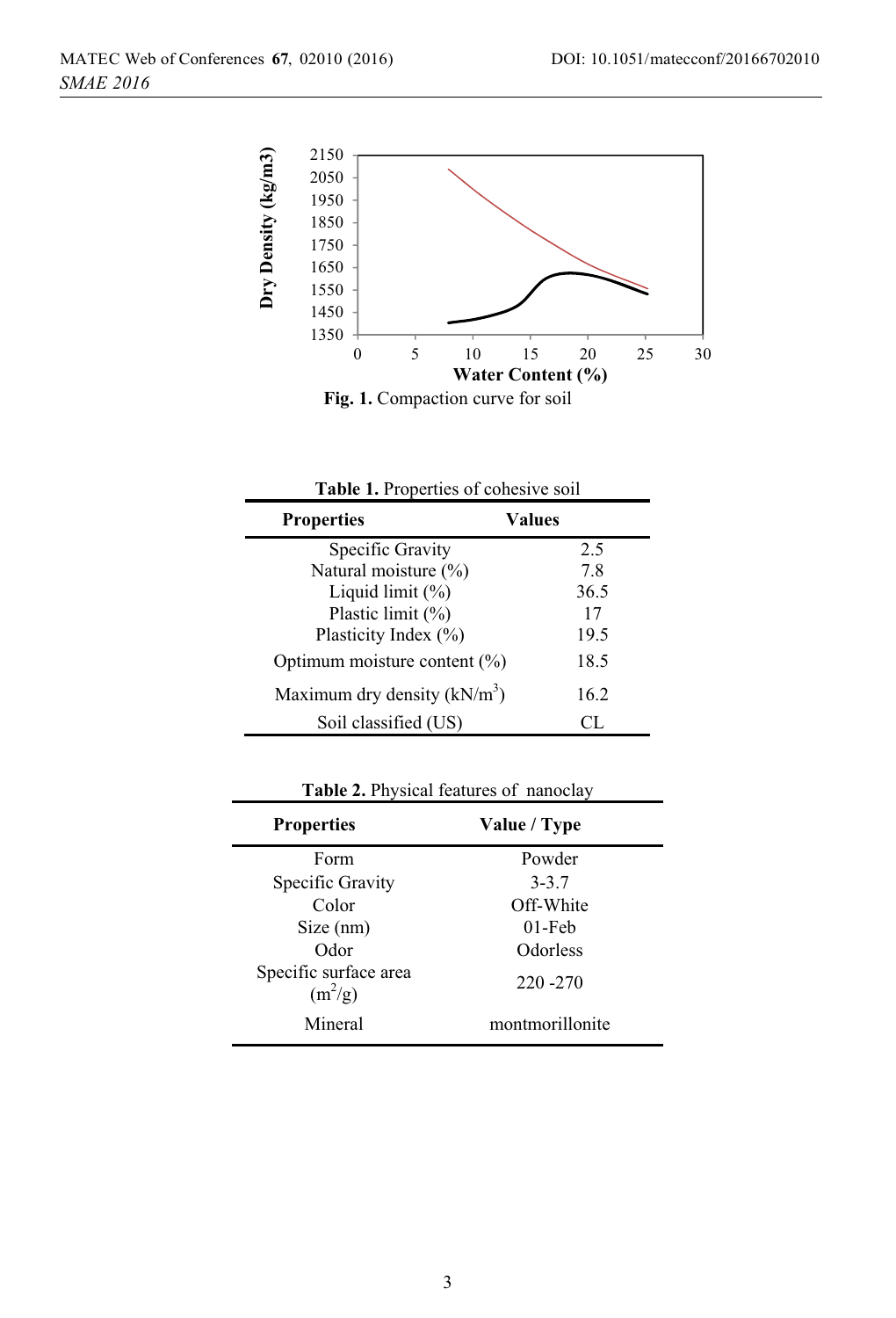

**Fig. 1.** Compaction curve for soil

| Table 1. Properties of cohesive soil |        |  |
|--------------------------------------|--------|--|
| <b>Properties</b>                    | Values |  |
| Specific Gravity                     | 2.5    |  |
| Natural moisture $(\%)$              | 7.8    |  |
| Liquid limit $(\%)$                  | 36.5   |  |
| Plastic limit $(\%)$                 | 17     |  |
| Plasticity Index (%)                 | 19.5   |  |
| Optimum moisture content $(\%)$      | 18.5   |  |
| Maximum dry density $(kN/m^3)$       | 16.2   |  |
| Soil classified (US)                 | CL.    |  |

**Table 2.** Physical features of nanoclay

| <b>Properties</b>                  | Value / Type    |  |
|------------------------------------|-----------------|--|
| Form                               | Powder          |  |
| Specific Gravity                   | $3 - 3.7$       |  |
| Color                              | Off-White       |  |
| Size (nm)                          | $01$ -Feb       |  |
| Odor                               | Odorless        |  |
| Specific surface area<br>$(m^2/g)$ | 220 - 270       |  |
| Mineral                            | montmorillonite |  |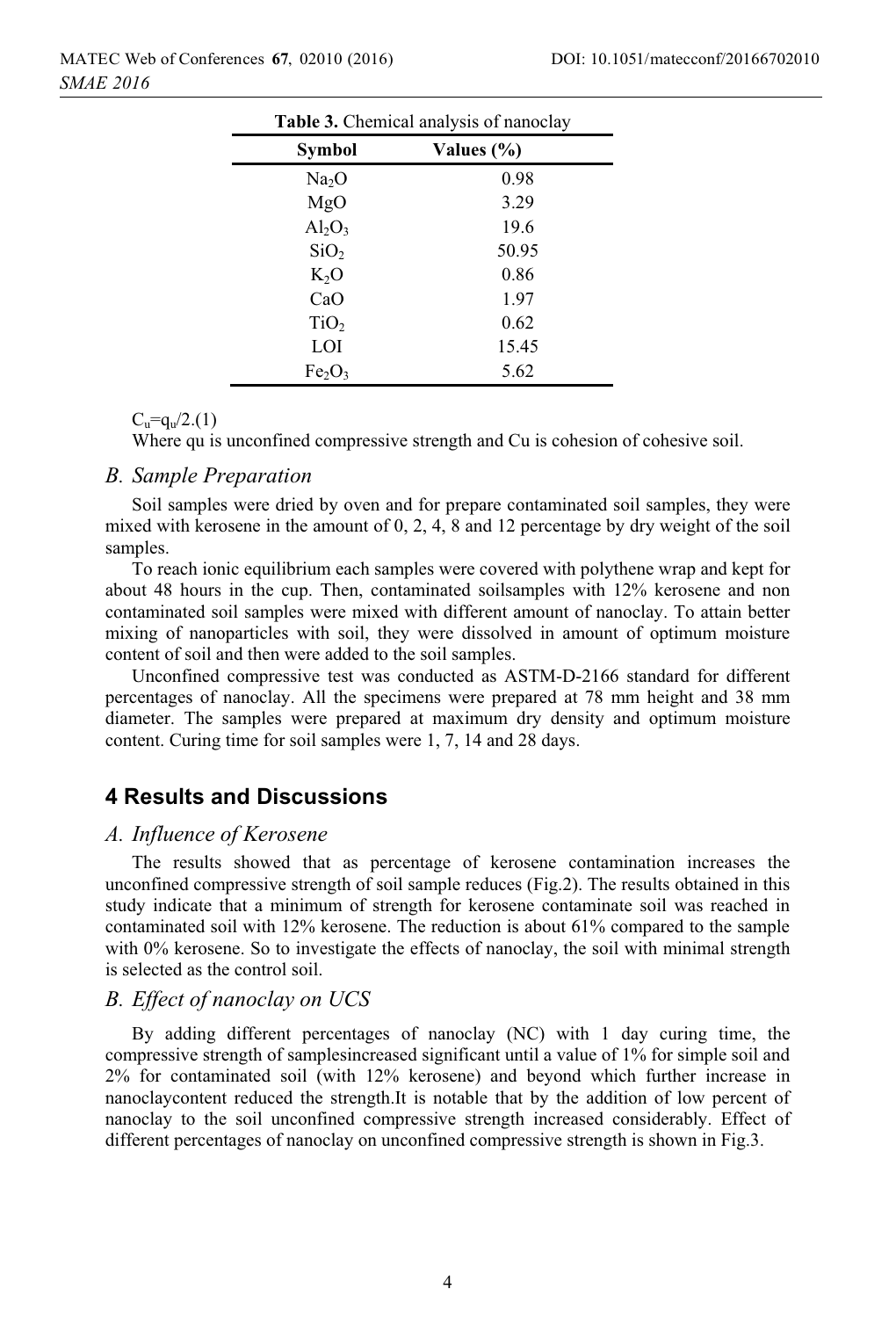| Table 3. Chemical analysis of nanoclay |                |  |
|----------------------------------------|----------------|--|
| <b>Symbol</b>                          | Values $(\% )$ |  |
| Na <sub>2</sub> O                      | 0.98           |  |
| MgO                                    | 3.29           |  |
| $Al_2O_3$                              | 19.6           |  |
| SiO <sub>2</sub>                       | 50.95          |  |
| $K_2O$                                 | 0.86           |  |
| CaO                                    | 1.97           |  |
| TiO <sub>2</sub>                       | 0.62           |  |
| LOI                                    | 15.45          |  |
| Fe <sub>2</sub> O <sub>3</sub>         | 5.62           |  |

 $C_u = q_u/2(1)$ 

Where qu is unconfined compressive strength and Cu is cohesion of cohesive soil.

#### *B. Sample Preparation*

Soil samples were dried by oven and for prepare contaminated soil samples, they were mixed with kerosene in the amount of 0, 2, 4, 8 and 12 percentage by dry weight of the soil samples.

To reach ionic equilibrium each samples were covered with polythene wrap and kept for about 48 hours in the cup. Then, contaminated soilsamples with 12% kerosene and non contaminated soil samples were mixed with different amount of nanoclay. To attain better mixing of nanoparticles with soil, they were dissolved in amount of optimum moisture content of soil and then were added to the soil samples.

Unconfined compressive test was conducted as ASTM-D-2166 standard for different percentages of nanoclay. All the specimens were prepared at 78 mm height and 38 mm diameter. The samples were prepared at maximum dry density and optimum moisture content. Curing time for soil samples were 1, 7, 14 and 28 days.

### **4 Results and Discussions**

#### *A. Influence of Kerosene*

The results showed that as percentage of kerosene contamination increases the unconfined compressive strength of soil sample reduces (Fig.2). The results obtained in this study indicate that a minimum of strength for kerosene contaminate soil was reached in contaminated soil with 12% kerosene. The reduction is about 61% compared to the sample with 0% kerosene. So to investigate the effects of nanoclay, the soil with minimal strength is selected as the control soil.

### *B. Effect of nanoclay on UCS*

By adding different percentages of nanoclay (NC) with 1 day curing time, the compressive strength of samplesincreased significant until a value of 1% for simple soil and 2% for contaminated soil (with 12% kerosene) and beyond which further increase in nanoclaycontent reduced the strength.It is notable that by the addition of low percent of nanoclay to the soil unconfined compressive strength increased considerably. Effect of different percentages of nanoclay on unconfined compressive strength is shown in Fig.3.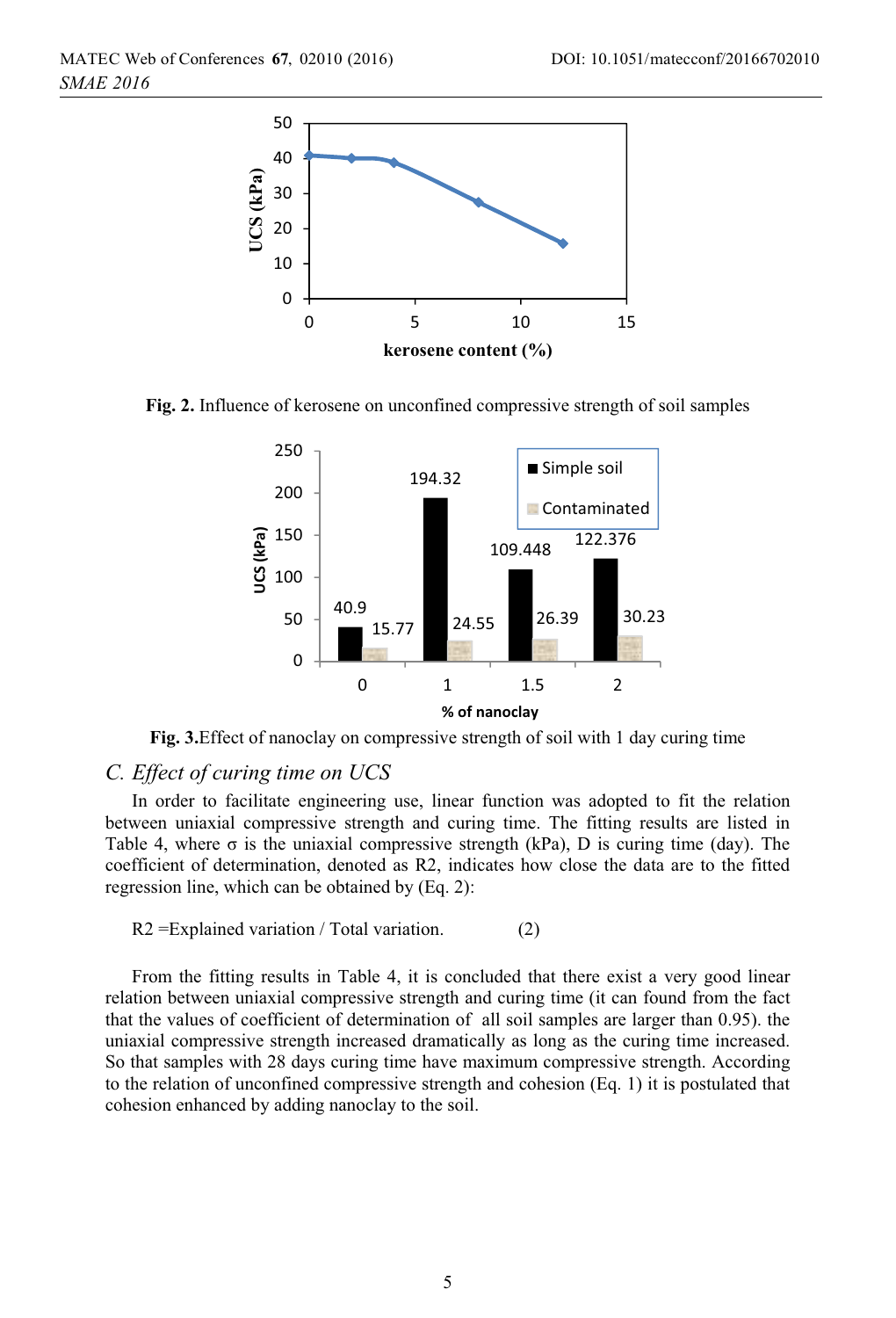

**Fig. 2.** Influence of kerosene on unconfined compressive strength of soil samples



**Fig. 3.**Effect of nanoclay on compressive strength of soil with 1 day curing time

#### *C. Effect of curing time on UCS*

In order to facilitate engineering use, linear function was adopted to fit the relation between uniaxial compressive strength and curing time. The fitting results are listed in Table 4, where  $\sigma$  is the uniaxial compressive strength (kPa), D is curing time (day). The coefficient of determination, denoted as R2, indicates how close the data are to the fitted regression line, which can be obtained by (Eq. 2):

 $R2 =$ Explained variation / Total variation. (2)

From the fitting results in Table 4, it is concluded that there exist a very good linear relation between uniaxial compressive strength and curing time (it can found from the fact that the values of coefficient of determination of all soil samples are larger than 0.95). the uniaxial compressive strength increased dramatically as long as the curing time increased. So that samples with 28 days curing time have maximum compressive strength. According to the relation of unconfined compressive strength and cohesion (Eq. 1) it is postulated that cohesion enhanced by adding nanoclay to the soil.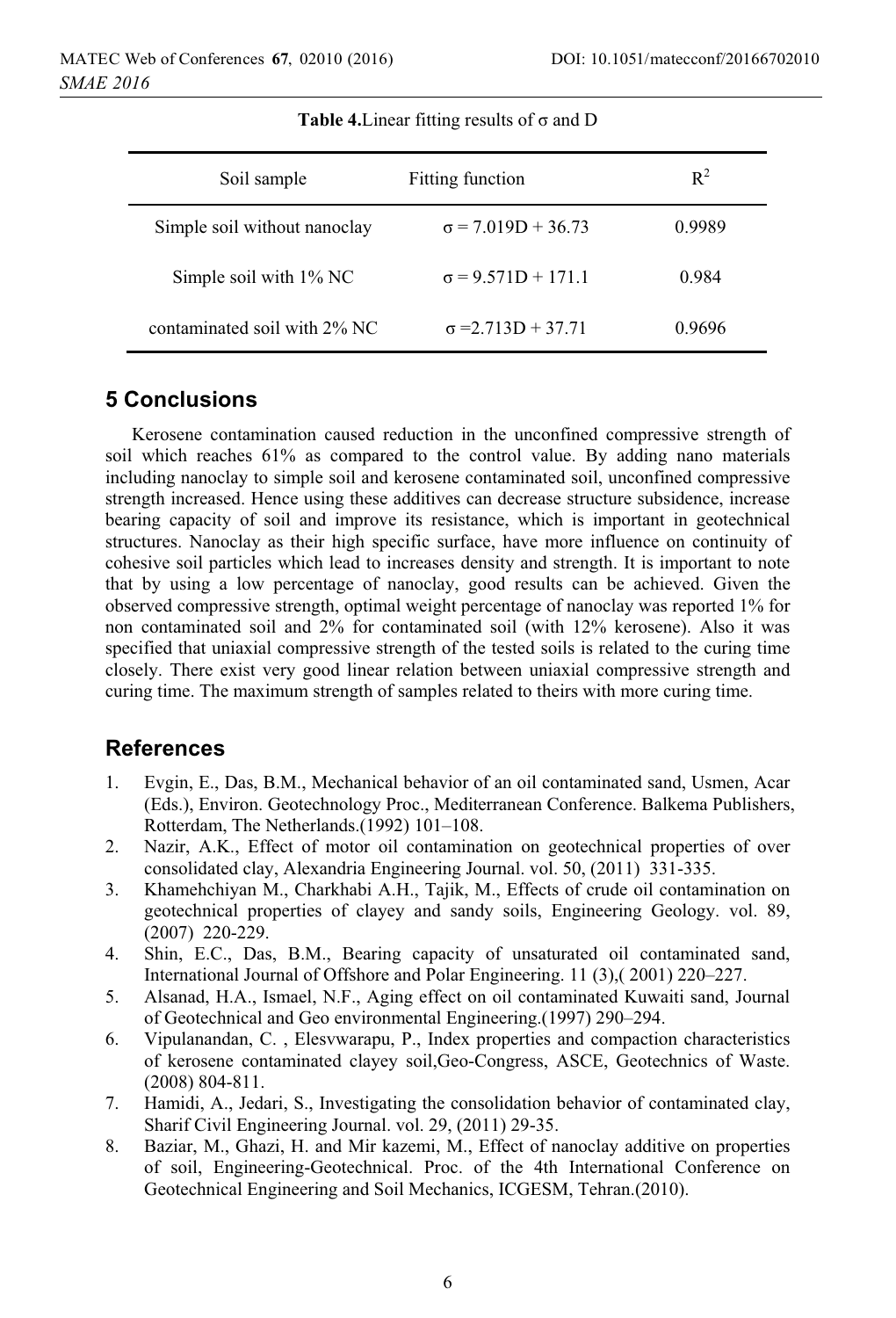| Soil sample                  | <b>Fitting function</b>   | $R^2$  |
|------------------------------|---------------------------|--------|
| Simple soil without nanoclay | $\sigma$ = 7.019D + 36.73 | 0.9989 |
| Simple soil with $1\%$ NC    | $\sigma = 9.571D + 171.1$ | 0.984  |
| contaminated soil with 2% NC | $\sigma = 2.713D + 37.71$ | 0.9696 |

**Table 4.** Linear fitting results of  $\sigma$  and D

### **5 Conclusions**

Kerosene contamination caused reduction in the unconfined compressive strength of soil which reaches 61% as compared to the control value. By adding nano materials including nanoclay to simple soil and kerosene contaminated soil, unconfined compressive strength increased. Hence using these additives can decrease structure subsidence, increase bearing capacity of soil and improve its resistance, which is important in geotechnical structures. Nanoclay as their high specific surface, have more influence on continuity of cohesive soil particles which lead to increases density and strength. It is important to note that by using a low percentage of nanoclay, good results can be achieved. Given the observed compressive strength, optimal weight percentage of nanoclay was reported 1% for non contaminated soil and 2% for contaminated soil (with 12% kerosene). Also it was specified that uniaxial compressive strength of the tested soils is related to the curing time closely. There exist very good linear relation between uniaxial compressive strength and curing time. The maximum strength of samples related to theirs with more curing time.

# **References**

- 1. Evgin, E., Das, B.M., Mechanical behavior of an oil contaminated sand, Usmen, Acar (Eds.), Environ. Geotechnology Proc., Mediterranean Conference. Balkema Publishers, Rotterdam, The Netherlands.(1992) 101–108.
- 2. Nazir, A.K., Effect of motor oil contamination on geotechnical properties of over consolidated clay, Alexandria Engineering Journal. vol. 50, (2011) 331-335.
- 3. Khamehchiyan M., Charkhabi A.H., Tajik, M., Effects of crude oil contamination on geotechnical properties of clayey and sandy soils, Engineering Geology. vol. 89, (2007) 220-229.
- 4. Shin, E.C., Das, B.M., Bearing capacity of unsaturated oil contaminated sand, International Journal of Offshore and Polar Engineering. 11 (3),( 2001) 220–227.
- 5. Alsanad, H.A., Ismael, N.F., Aging effect on oil contaminated Kuwaiti sand, Journal of Geotechnical and Geo environmental Engineering.(1997) 290–294.
- 6. Vipulanandan, C. , Elesvwarapu, P., Index properties and compaction characteristics of kerosene contaminated clayey soil,Geo-Congress, ASCE, Geotechnics of Waste. (2008) 804-811.
- 7. Hamidi, A., Jedari, S., Investigating the consolidation behavior of contaminated clay, Sharif Civil Engineering Journal. vol. 29, (2011) 29-35.
- 8. Baziar, M., Ghazi, H. and Mir kazemi, M., Effect of nanoclay additive on properties of soil, Engineering-Geotechnical. Proc. of the 4th International Conference on Geotechnical Engineering and Soil Mechanics, ICGESM, Tehran.(2010).